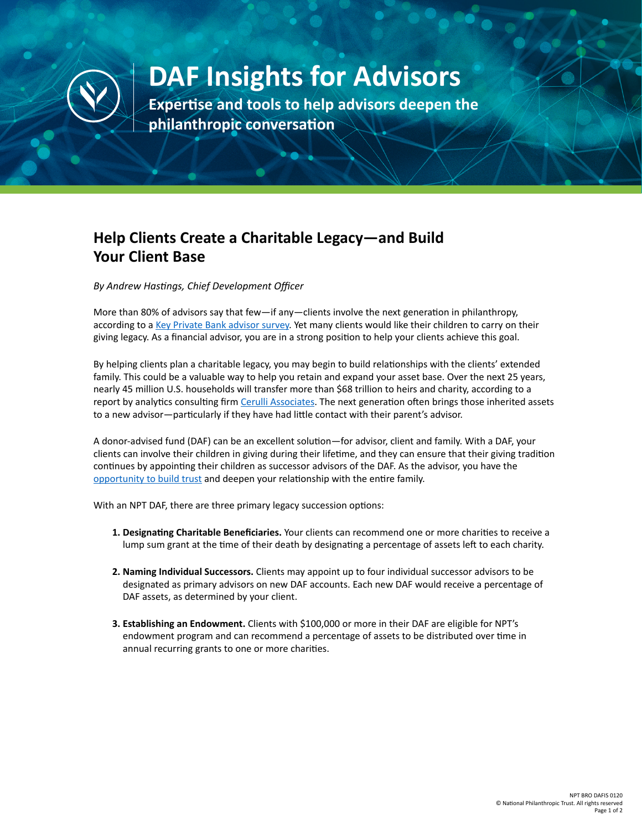

## **DAF Insights for Advisors**

**Expertise and tools to help advisors deepen the philanthropic conversation**

## **Help Clients Create a Charitable Legacy—and Build Your Client Base**

*By Andrew Hastings, Chief Development Officer*

More than 80% of advisors say that few—if any—clients involve the next generation in philanthropy, according to a [Key Private Bank advisor survey.](https://www.key.com/kpb/our-insights/articles/philanthropy-advisor-poll.jsp) Yet many clients would like their children to carry on their giving legacy. As a financial advisor, you are in a strong position to help your clients achieve this goal.

By helping clients plan a charitable legacy, you may begin to build relationships with the clients' extended family. This could be a valuable way to help you retain and expand your asset base. Over the next 25 years, nearly 45 million U.S. households will transfer more than \$68 trillion to heirs and charity, according to a report by analytics consulting firm [Cerulli Associates](https://info.cerulli.com/HNW-Transfer-of-Wealth-Cerulli.html). The next generation often brings those inherited assets to a new advisor—particularly if they have had little contact with their parent's advisor.

A donor-advised fund (DAF) can be an excellent solution—for advisor, client and family. With a DAF, your clients can involve their children in giving during their lifetime, and they can ensure that their giving tradition continues by appointing their children as successor advisors of the DAF. As the advisor, you have the [opportunity to build trust](https://www.nptrust.org/philanthropic-resources/philanthropist/four-reasons-to-talk-to-clients-about-donor-advised-funds-2/) and deepen your relationship with the entire family.

With an NPT DAF, there are three primary legacy succession options:

- **1. Designating Charitable Beneficiaries.** Your clients can recommend one or more charities to receive a lump sum grant at the time of their death by designating a percentage of assets left to each charity.
- **2. Naming Individual Successors.** Clients may appoint up to four individual successor advisors to be designated as primary advisors on new DAF accounts. Each new DAF would receive a percentage of DAF assets, as determined by your client.
- **3. Establishing an Endowment.** Clients with \$100,000 or more in their DAF are eligible for NPT's endowment program and can recommend a percentage of assets to be distributed over time in annual recurring grants to one or more charities.